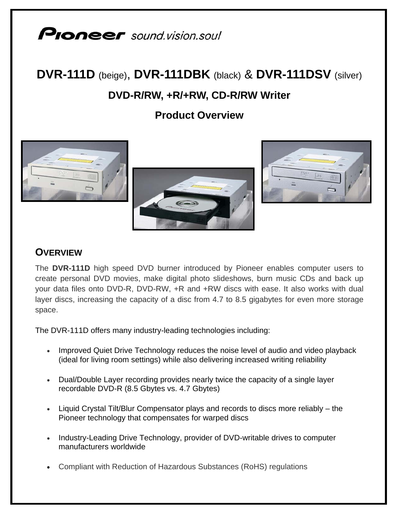# **Pioneer** sound.vision.soul

## **DVR-111D** (beige), **DVR-111DBK** (black) & **DVR-111DSV** (silver) **DVD-R/RW, +R/+RW, CD-R/RW Writer**

**Product Overview**



### **OVERVIEW**

The **DVR-111D** high speed DVD burner introduced by Pioneer enables computer users to create personal DVD movies, make digital photo slideshows, burn music CDs and back up your data files onto DVD-R, DVD-RW, +R and +RW discs with ease. It also works with dual layer discs, increasing the capacity of a disc from 4.7 to 8.5 gigabytes for even more storage space.

The DVR-111D offers many industry-leading technologies including:

- Improved Quiet Drive Technology reduces the noise level of audio and video playback (ideal for living room settings) while also delivering increased writing reliability
- Dual/Double Layer recording provides nearly twice the capacity of a single layer recordable DVD-R (8.5 Gbytes vs. 4.7 Gbytes)
- Liquid Crystal Tilt/Blur Compensator plays and records to discs more reliably the Pioneer technology that compensates for warped discs
- Industry-Leading Drive Technology, provider of DVD-writable drives to computer manufacturers worldwide
- Compliant with Reduction of Hazardous Substances (RoHS) regulations